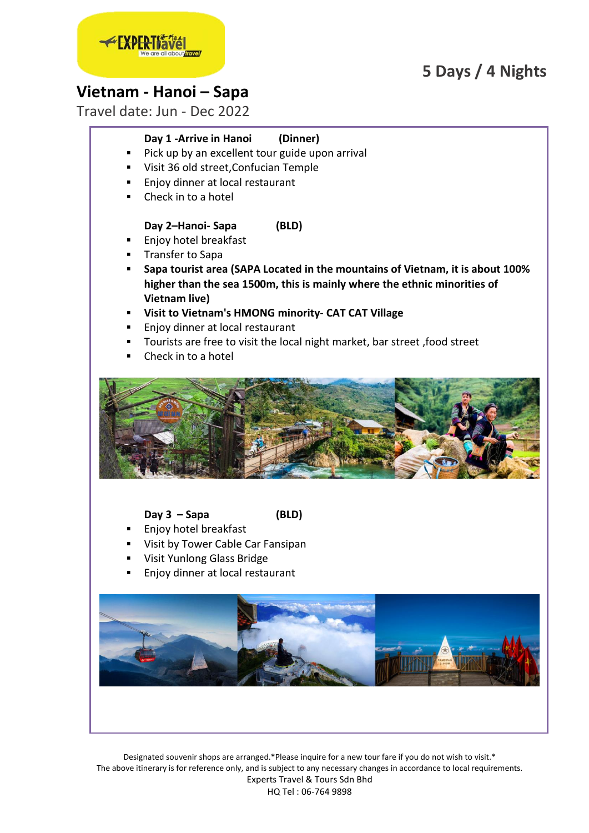# **5 Days / 4 Nights**



# **Vietnam - Hanoi – Sapa**

Travel date: Jun - Dec 2022

# **Day 1 -Arrive in Hanoi (Dinner)**

- Pick up by an excellent tour guide upon arrival
- Visit 36 old street,Confucian Temple
- Enjoy dinner at local restaurant
- Check in to a hotel

## **Day 2–Hanoi- Sapa (BLD)**

- **Enjoy hotel breakfast**
- **Transfer to Sapa**
- **Sapa tourist area (SAPA Located in the mountains of Vietnam, it is about 100% higher than the sea 1500m, this is mainly where the ethnic minorities of Vietnam live)**
- **Visit to Vietnam's HMONG minority CAT CAT Village**
- Enjoy dinner at local restaurant
- Tourists are free to visit the local night market, bar street ,food street
- Check in to a hotel



## **Day 3 – Sapa (BLD)**

- Enjoy hotel breakfast
- Visit by Tower Cable Car Fansipan
- Visit Yunlong Glass Bridge
- Enjoy dinner at local restaurant

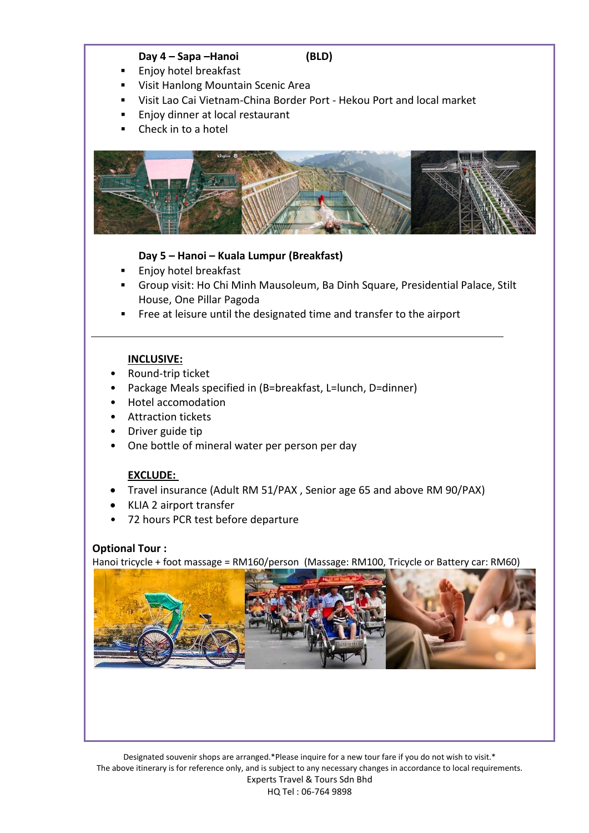#### **Day 4 – Sapa –Hanoi (BLD)**

- Enjoy hotel breakfast
- Visit Hanlong Mountain Scenic Area
- Visit Lao Cai Vietnam-China Border Port Hekou Port and local market
- Enjoy dinner at local restaurant
- Check in to a hotel



## **Day 5 – Hanoi – Kuala Lumpur (Breakfast)**

- Enjoy hotel breakfast
- Group visit: Ho Chi Minh Mausoleum, Ba Dinh Square, Presidential Palace, Stilt House, One Pillar Pagoda
- Free at leisure until the designated time and transfer to the airport

#### **INCLUSIVE:**

- Round-trip ticket
- Package Meals specified in (B=breakfast, L=lunch, D=dinner)
- Hotel accomodation
- Attraction tickets
- Driver guide tip
- One bottle of mineral water per person per day

### **EXCLUDE:**

- Travel insurance (Adult RM 51/PAX , Senior age 65 and above RM 90/PAX)
- KLIA 2 airport transfer
- 72 hours PCR test before departure

### **Optional Tour :**

Hanoi tricycle + foot massage = RM160/person (Massage: RM100, Tricycle or Battery car: RM60)

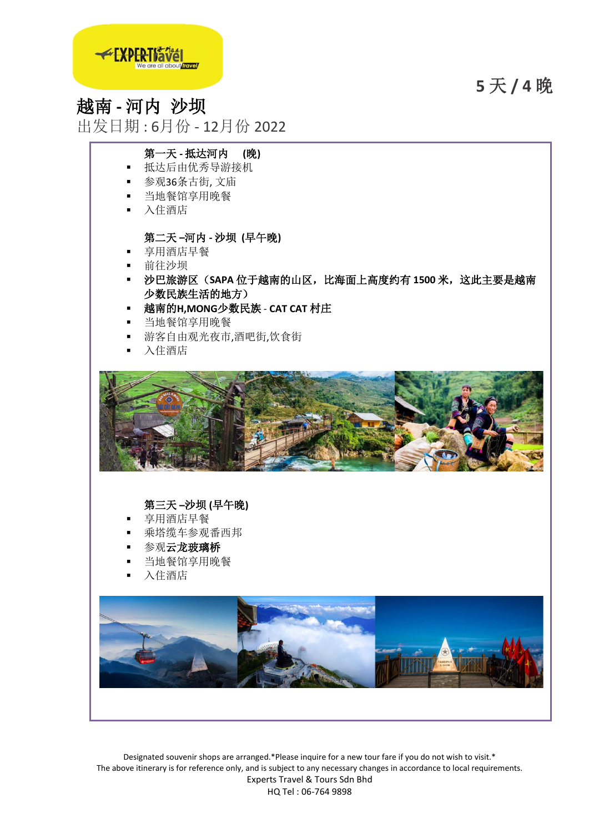**5** 天 **/ 4** 晚



# 越南 **-** 河内 沙坝

出发日期 : 6月份 - 12月份 2022

# 第一天 **-** 抵达河内 **(**晚**)**

- 抵达后由优秀导游接机
- 参观36条古街, 文庙
- 当地餐馆享用晚餐
- 入住酒店

# 第二天 **–**河内 **-** 沙坝 **(**早午晚**)**

- 享用酒店早餐
- 前往沙坝
- 沙巴旅游区(**SAPA** 位于越南的山区,比海面上高度约有 **1500** 米,这此主要是越南 少数民族生活的地方)
- 越南的**H,MONG**少数民族 **CAT CAT** 村庄
- 当地餐馆享用晚餐
- 游客自由观光夜市,酒吧街,饮食街
- 入住酒店



# 第三天 **–**沙坝 **(**早午晚**)**

- 享用酒店早餐
- 乘塔缆车参观番西邦
- 参观**云龙玻璃桥**
- 当地餐馆享用晚餐
- 入住酒店